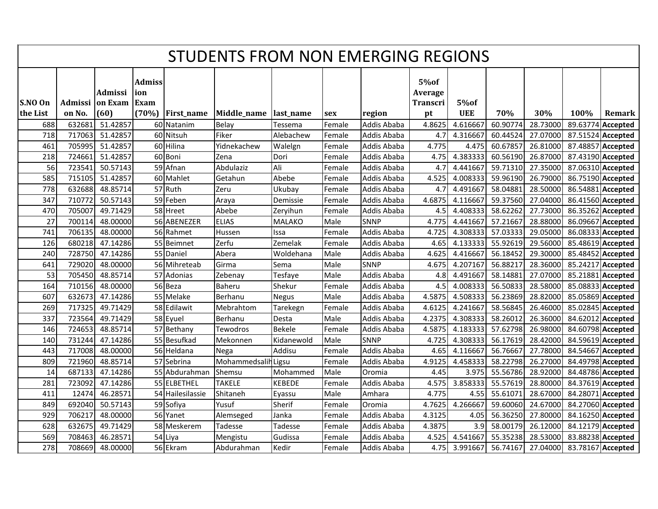|                     |                          |                            |                                              |                   | <b>STUDENTS FROM NON EMERGING REGIONS</b> |                |        |                    |                                   |                    |          |                                              |                   |                   |
|---------------------|--------------------------|----------------------------|----------------------------------------------|-------------------|-------------------------------------------|----------------|--------|--------------------|-----------------------------------|--------------------|----------|----------------------------------------------|-------------------|-------------------|
| S.NO On<br>the List | <b>Admissi</b><br>on No. | Admissi<br>on Exam<br>(60) | <b>Admiss</b><br>ion<br><b>Exam</b><br>(70%) | <b>First_name</b> | Middle_name                               | last_name      | sex    | region             | 5%of<br>Average<br>Transcri<br>pt | 5%of<br><b>UEE</b> | 70%      | 30%                                          | 100%              | Remark            |
| 688                 | 632681                   | 51.42857                   |                                              | 60 Natanim        | <b>Belay</b>                              | Tessema        | Female | Addis Ababa        | 4.8625                            | 4.616667           | 60.90774 | 28.73000                                     | 89.63774          | Accepted          |
| 718                 | 717063                   | 51.42857                   |                                              | 60 Nitsuh         | Fiker                                     | Alebachew      | Female | Addis Ababa        | 4.7                               | 4.316667           | 60.44524 | 27.07000                                     |                   | 87.51524 Accepted |
| 461                 | 705995                   | 51.42857                   |                                              | 60 Hilina         | Yidnekachew                               | Walelgn        | Female | Addis Ababa        | 4.775                             | 4.475              | 60.67857 | 26.81000                                     |                   | 87.48857 Accepted |
| 218                 | 724661                   | 51.42857                   |                                              | 60 Boni           | Zena                                      | Dori           | Female | Addis Ababa        | 4.75                              | 4.383333           | 60.56190 | 26.87000                                     |                   | 87.43190 Accepted |
| 56                  | 723541                   | 50.57143                   |                                              | 59 Afnan          | Abdulaziz                                 | Ali            | Female | Addis Ababa        | 4.7                               | 4.441667           | 59.71310 | 27.35000                                     |                   | 87.06310 Accepted |
| 585                 | 715105                   | 51.42857                   |                                              | 60 Mahlet         | Getahun                                   | Abebe          | Female | Addis Ababa        | 4.525                             | 4.008333           | 59.96190 | 26.79000                                     |                   | 86.75190 Accepted |
| 778                 | 632688                   | 48.85714                   |                                              | 57 Ruth           | Zeru                                      | Ukubay         | Female | Addis Ababa        | 4.7                               | 4.491667           | 58.04881 | 28.50000                                     |                   | 86.54881 Accepted |
| 347                 | 710772                   | 50.57143                   |                                              | 59 Feben          | Araya                                     | Demissie       | Female | Addis Ababa        | 4.6875                            | 4.116667           | 59.37560 | 27.04000                                     |                   | 86.41560 Accepted |
| 470                 | 705007                   | 49.71429                   |                                              | 58 Hreet          | Abebe                                     | Zeryihun       | Female | Addis Ababa        | 4.5                               | 4.408333           | 58.62262 | 27.73000                                     |                   | 86.35262 Accepted |
| 27                  | 700114                   | 48.00000                   |                                              | 56 ABENEZER       | <b>ELIAS</b>                              | <b>MALAKO</b>  | Male   | SNNP               | 4.775                             | 4.441667           | 57.21667 | 28.88000                                     |                   | 86.09667 Accepted |
| 741                 | 706135                   | 48.00000                   |                                              | 56 Rahmet         | Hussen                                    | Issa           | Female | <b>Addis Ababa</b> | 4.725                             | 4.308333           | 57.03333 | 29.05000                                     |                   | 86.08333 Accepted |
| 126                 | 680218                   | 47.14286                   |                                              | 55 Beimnet        | Zerfu                                     | Zemelak        | Female | Addis Ababa        | 4.65                              | 4.133333           | 55.92619 | 29.56000                                     |                   | 85.48619 Accepted |
| 240                 | 728750                   | 47.14286                   |                                              | 55 Daniel         | Abera                                     | Woldehana      | Male   | Addis Ababa        | 4.625                             | 4.416667           | 56.18452 | 29.30000                                     |                   | 85.48452 Accepted |
| 641                 | 729020                   | 48.00000                   |                                              | 56 Mihreteab      | Girma                                     | Sema           | Male   | <b>SNNP</b>        | 4.675                             | 4.207167           | 56.88217 | 28.36000                                     |                   | 85.24217 Accepted |
| 53                  | 705450                   | 48.85714                   |                                              | 57 Adonias        | Zebenay                                   | <b>Tesfaye</b> | Male   | Addis Ababa        | 4.8                               | 4.491667           | 58.14881 | 27.07000                                     |                   | 85.21881 Accepted |
| 164                 | 710156                   | 48.00000                   |                                              | 56 Beza           | <b>Baheru</b>                             | Shekur         | Female | Addis Ababa        | 4.5                               | 4.008333           | 56.50833 | 28.58000                                     |                   | 85.08833 Accepted |
| 607                 | 632673                   | 47.14286                   |                                              | 55 Melake         | Berhanu                                   | <b>Negus</b>   | Male   | Addis Ababa        | 4.5875                            | 4.508333           | 56.23869 | 28.82000                                     |                   | 85.05869 Accepted |
| 269                 | 717325                   | 49.71429                   |                                              | 58 Edilawit       | Mebrahtom                                 | Tarekegn       | Female | Addis Ababa        | 4.6125                            | 4.241667           | 58.56845 | 26.46000                                     |                   | 85.02845 Accepted |
| 337                 | 723564                   | 49.71429                   |                                              | 58 Eyuel          | Berhanu                                   | Desta          | Male   | Addis Ababa        | 4.2375                            | 4.308333           | 58.26012 | 26.36000                                     |                   | 84.62012 Accepted |
| 146                 | 724653                   | 48.85714                   |                                              | 57 Bethany        | <b>Tewodros</b>                           | <b>Bekele</b>  | Female | Addis Ababa        | 4.5875                            | 4.183333           | 57.62798 | 26.98000                                     |                   | 84.60798 Accepted |
| 140                 | 731244                   | 47.14286                   |                                              | 55 Besufkad       | Mekonnen                                  | Kidanewold     | Male   | <b>SNNP</b>        | 4.725                             | 4.308333           | 56.17619 | 28.42000                                     |                   | 84.59619 Accepted |
| 443                 | 717008                   | 48.00000                   |                                              | 56 Heldana        | Nega                                      | Addisu         | Female | Addis Ababa        | 4.65                              | 4.116667           | 56.76667 | 27.78000                                     |                   | 84.54667 Accepted |
| 809                 | 721960                   | 48.85714                   |                                              | 57 Sebrina        | Mohammedsalih Ligsu                       |                | Female | Addis Ababa        | 4.9125                            | 4.458333           | 58.22798 | 26.27000                                     |                   | 84.49798 Accepted |
| 14                  | 687133                   | 47.14286                   |                                              | 55 Abdurahman     | Shemsu                                    | Mohammed       | Male   | Oromia             | 4.45                              | 3.975              | 55.56786 | 28.92000                                     |                   | 84.48786 Accepted |
| 281                 | 723092                   | 47.14286                   |                                              | 55 ELBETHEL       | <b>TAKELE</b>                             | <b>KEBEDE</b>  | Female | Addis Ababa        | 4.575                             |                    |          | 3.858333 55.57619 28.80000 84.37619 Accepted |                   |                   |
| 411                 | 12474                    | 46.28571                   |                                              | 54 Hailesilassie  | Shitaneh                                  | Eyassu         | Male   | Amhara             | 4.775                             | 4.55               | 55.61071 | 28.67000                                     |                   | 84.28071 Accepted |
| 849                 | 692040                   | 50.57143                   |                                              | 59 Sofiya         | Yusuf                                     | Sherif         | Female | Oromia             | 4.7625                            | 4.266667           | 59.60060 | 24.67000                                     | 84.27060 Accepted |                   |
| 929                 | 706217                   | 48.00000                   |                                              | 56 Yanet          | Alemseged                                 | Janka          | Female | Addis Ababa        | 4.3125                            | 4.05               | 56.36250 | 27.80000                                     | 84.16250 Accepted |                   |
| 628                 | 632675                   | 49.71429                   |                                              | 58 Meskerem       | Tadesse                                   | Tadesse        | Female | Addis Ababa        | 4.3875                            | 3.9                | 58.00179 | 26.12000                                     |                   | 84.12179 Accepted |
| 569                 | 708463                   | 46.28571                   |                                              | 54 Liya           | Mengistu                                  | Gudissa        | Female | Addis Ababa        | 4.525                             | 4.541667           | 55.35238 | 28.53000                                     |                   | 83.88238 Accepted |
| 278                 | 708669                   | 48.00000                   |                                              | 56 Ekram          | Abdurahman                                | Kedir          | Female | Addis Ababa        | 4.75                              | 3.991667           | 56.74167 | 27.04000                                     |                   | 83.78167 Accepted |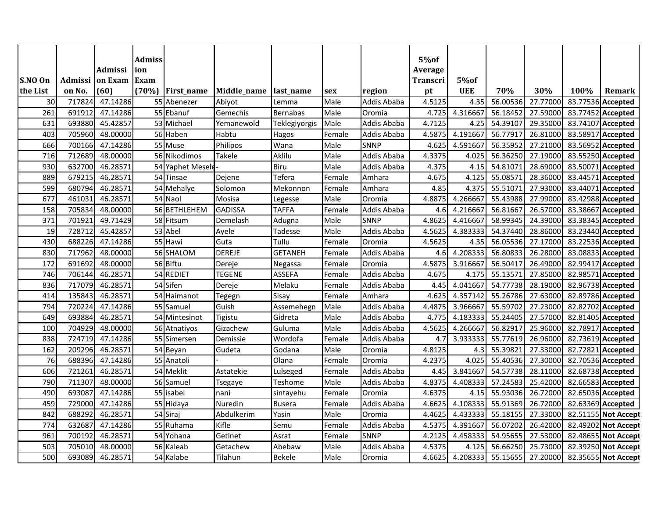|          |         |                 | <b>Admiss</b> |                   |                |                |        |                    | 5% of           |            |          |                                                     |      |                     |
|----------|---------|-----------------|---------------|-------------------|----------------|----------------|--------|--------------------|-----------------|------------|----------|-----------------------------------------------------|------|---------------------|
|          |         | <b>Admissi</b>  | ion           |                   |                |                |        |                    | <b>Average</b>  |            |          |                                                     |      |                     |
| S.NO On  | Admissi | on Exam         | <b>Exam</b>   |                   |                |                |        |                    | <b>Transcri</b> | 5% of      |          |                                                     |      |                     |
| the List | on No.  | (60)            | (70%)         | First_name        | Middle_name    | last_name      | sex    | region             | pt              | <b>UEE</b> | 70%      | 30%                                                 | 100% | Remark              |
| 30       | 717824  | 47.14286        |               | 55 Abenezer       | Abiyot         | Lemma          | Male   | Addis Ababa        | 4.5125          | 4.35       | 56.00536 | 27.77000                                            |      | 83.77536 Accepted   |
| 261      | 691912  | 47.14286        |               | 55 Ebanuf         | Gemechis       | Bernabas       | Male   | Oromia             | 4.725           | 4.316667   | 56.18452 | 27.59000                                            |      | 83.77452 Accepted   |
| 631      | 693880  | 45.42857        |               | 53 Michael        | Yemanewold     | Teklegiyorgis  | Male   | Addis Ababa        | 4.7125          | 4.25       | 54.39107 | 29.35000                                            |      | 83.74107 Accepted   |
| 403      | 705960  | 48.00000        |               | 56 Haben          | Habtu          | Hagos          | Female | Addis Ababa        | 4.5875          | 4.191667   | 56.77917 | 26.81000                                            |      | 83.58917 Accepted   |
| 666      | 700166  | 47.14286        |               | 55 Muse           | Philipos       | Wana           | Male   | SNNP               | 4.625           | 4.591667   | 56.35952 | 27.21000                                            |      | 83.56952 Accepted   |
| 716      | 712689  | 48.00000        |               | 56 Nikodimos      | Takele         | Aklilu         | Male   | Addis Ababa        | 4.3375          | 4.025      | 56.36250 | 27.19000                                            |      | 83.55250 Accepted   |
| 930      | 632700  | 46.28571        |               | 54 Yaphet Mesele- |                | Biru           | Male   | Addis Ababa        | 4.375           | 4.15       | 54.81071 | 28.69000                                            |      | 83.50071 Accepted   |
| 889      | 679215  | 46.28571        |               | 54 Tinsae         | Dejene         | Tefera         | Female | Amhara             | 4.675           | 4.125      | 55.08571 | 28.36000                                            |      | 83.44571 Accepted   |
| 599      | 680794  | 46.28571        |               | 54 Mehalye        | Solomon        | Mekonnon       | Female | Amhara             | 4.85            | 4.375      | 55.51071 | 27.93000                                            |      | 83.44071 Accepted   |
| 677      | 461031  | 46.28571        |               | 54 Naol           | Mosisa         | Legesse        | Male   | Oromia             | 4.8875          | 4.266667   | 55.43988 | 27.99000                                            |      | 83.42988 Accepted   |
| 158      | 705834  | 48.00000        |               | 56 BETHLEHEM      | <b>GADISSA</b> | <b>TAFFA</b>   | Female | Addis Ababa        | 4.6             | 4.216667   | 56.81667 | 26.57000                                            |      | 83.38667 Accepted   |
| 371      | 701921  | 49.71429        |               | 58 Fitsum         | Demelash       | Adugna         | Male   | SNNP               | 4.8625          | 4.416667   | 58.99345 | 24.39000                                            |      | 83.38345 Accepted   |
| 19       | 728712  | 45.42857        |               | 53 Abel           | Ayele          | Tadesse        | Male   | Addis Ababa        | 4.5625          | 4.383333   | 54.37440 | 28.86000                                            |      | 83.23440 Accepted   |
| 430      | 688226  | 47.14286        |               | 55 Hawi           | Guta           | Tullu          | Female | Oromia             | 4.5625          | 4.35       | 56.05536 | 27.17000                                            |      | 83.22536 Accepted   |
| 830      | 717962  | 48.00000        |               | 56 SHALOM         | DEREJE         | <b>GETANEH</b> | Female | Addis Ababa        | 4.6             | 4.208333   | 56.80833 | 26.28000                                            |      | 83.08833 Accepted   |
| 172      | 691692  | 48.00000        |               | 56 Biftu          | Dereje         | Negassa        | Female | Oromia             | 4.5875          | 3.916667   | 56.50417 | 26.49000                                            |      | 82.99417 Accepted   |
| 746      | 706144  | 46.28571        |               | 54 REDIET         | <b>TEGENE</b>  | <b>ASSEFA</b>  | Female | Addis Ababa        | 4.675           | 4.175      | 55.13571 | 27.85000                                            |      | 82.98571 Accepted   |
| 836      | 717079  | 46.28571        |               | 54 Sifen          | Dereje         | Melaku         | Female | Addis Ababa        | 4.45            | 4.041667   | 54.77738 | 28.19000                                            |      | 82.96738 Accepted   |
| 414      | 135843  | 46.28571        |               | 54 Haimanot       | Tegegn         | Sisay          | Female | Amhara             | 4.625           | 4.357142   | 55.26786 | 27.63000                                            |      | 82.89786 Accepted   |
| 794      | 720224  | 47.14286        |               | 55 Samuel         | Guish          | Assemehegn     | Male   | Addis Ababa        | 4.4875          | 3.966667   | 55.59702 | 27.23000                                            |      | 82.82702 Accepted   |
| 649      | 693884  | 46.28571        |               | 54 Mintesinot     | Tigistu        | Gidreta        | Male   | Addis Ababa        | 4.775           | 4.183333   | 55.24405 | 27.57000                                            |      | 82.81405 Accepted   |
| 100      | 704929  | 48.00000        |               | 56 Atnatiyos      | Gizachew       | Guluma         | Male   | <b>Addis Ababa</b> | 4.5625          | 4.266667   | 56.82917 | 25.96000                                            |      | 82.78917 Accepted   |
| 838      | 724719  | 47.14286        |               | 55 Simersen       | Demissie       | Wordofa        | Female | Addis Ababa        | 4.7             | 3.933333   | 55.77619 | 26.96000                                            |      | 82.73619 Accepted   |
| 162      | 209296  | 46.28571        |               | 54 Beyan          | Gudeta         | Godana         | Male   | Oromia             | 4.8125          | 4.3        | 55.39821 | 27.33000                                            |      | 82.72821 Accepted   |
| 76       | 688396  | 47.14286        |               | 55 Anatoli        |                | Olana          | Female | Oromia             | 4.2375          | 4.025      | 55.40536 | 27.30000                                            |      | 82.70536 Accepted   |
| 606      | 721261  | 46.28571        |               | 54 Meklit         | Astatekie      | Lulseged       | Female | Addis Ababa        | 4.45            | 3.841667   | 54.57738 | 28.11000                                            |      | 82.68738 Accepted   |
| 790      |         | 711307 48.00000 |               | 56 Samuel         | Tsegaye        | Teshome        | Male   | Addis Ababa        |                 |            |          | 4.8375 4.408333 57.24583 25.42000 82.66583 Accepted |      |                     |
| 490      | 693087  | 47.14286        |               | 55 isabel         | nani           | sintayehu      | Female | Oromia             | 4.6375          | 4.15       |          | 55.93036 26.72000 82.65036 Accepted                 |      |                     |
| 459      | 729000  | 47.14286        |               | 55 Hidaya         | Nuredin        | <b>Busera</b>  | Female | Addis Ababa        | 4.6625          | 4.108333   |          | 55.91369 26.72000                                   |      | 82.63369 Accepted   |
| 842      | 688292  | 46.28571        |               | 54 Siraj          | Abdulkerim     | Yasin          | Male   | Oromia             | 4.4625          | 4.433333   |          | 55.18155 27.33000                                   |      | 82.51155 Not Accept |
| 774      | 632687  | 47.14286        |               | 55 Ruhama         | Kifle          | Semu           | Female | Addis Ababa        | 4.5375          | 4.391667   | 56.07202 | 26.42000                                            |      | 82.49202 Not Accept |
| 961      | 700192  | 46.28571        |               | 54 Yohana         | Getinet        | Asrat          | Female | <b>SNNP</b>        | 4.2125          | 4.458333   |          | 54.95655 27.53000                                   |      | 82.48655 Not Accept |
| 503      | 705010  | 48.00000        |               | 56 Kaleab         | Getachew       | Abebaw         | Male   | Addis Ababa        | 4.5375          | 4.125      |          | 56.66250 25.73000                                   |      | 82.39250 Not Accept |
| 500      | 693089  | 46.28571        |               | 54 Kalabe         | Tilahun        | <b>Bekele</b>  | Male   | Oromia             | 4.6625          | 4.208333   |          | 55.15655 27.20000                                   |      | 82.35655 Not Accept |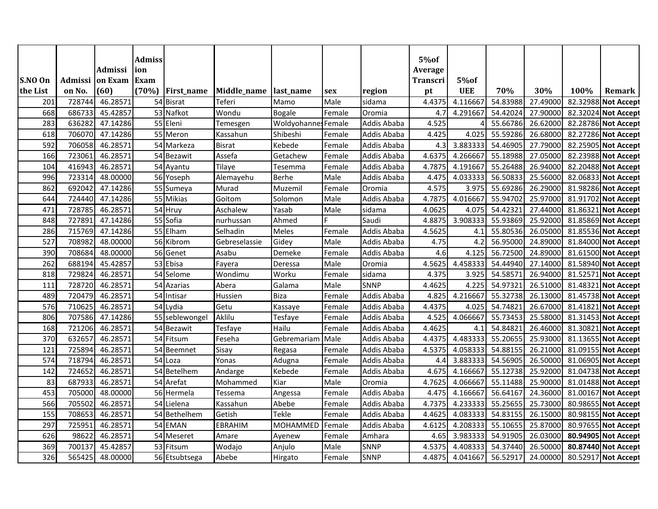| S.NO On  | Admissi | Admissi<br>on Exam | <b>Admiss</b><br> ion<br>Exam |                |               |                            |        |             | 5% of<br>Average<br><b>Transcri</b> | 5% of      |          |          |      |                                       |
|----------|---------|--------------------|-------------------------------|----------------|---------------|----------------------------|--------|-------------|-------------------------------------|------------|----------|----------|------|---------------------------------------|
| the List | on No.  | (60)               | (70%)                         | First_name     | Middle_name   | last_name                  | sex    | region      | pt                                  | <b>UEE</b> | 70%      | 30%      | 100% | Remark                                |
| 201      | 728744  | 46.28571           |                               | 54 Bisrat      | Teferi        | Mamo                       | Male   | sidama      | 4.4375                              | 4.116667   | 54.83988 | 27.49000 |      | 82.32988 Not Accept                   |
| 668      | 686733  | 45.42857           |                               | 53 Nafkot      | Wondu         | <b>Bogale</b>              | Female | Oromia      | 4.7                                 | 4.291667   | 54.42024 | 27.90000 |      | 82.32024 Not Accept                   |
| 283      | 636282  | 47.14286           |                               | 55 Eleni       | Temesgen      | <b>Woldyohannes Female</b> |        | Addis Ababa | 4.525                               |            | 55.66786 | 26.62000 |      | 82.28786 Not Accept                   |
| 618      | 706070  | 47.14286           |                               | 55 Meron       | Kassahun      | Shibeshi                   | Female | Addis Ababa | 4.425                               | 4.025      | 55.59286 | 26.68000 |      | 82.27286 Not Accept                   |
| 592      | 706058  | 46.28571           |                               | 54 Markeza     | <b>Bisrat</b> | Kebede                     | Female | Addis Ababa | 4.3                                 | 3.883333   | 54.46905 | 27.79000 |      | 82.25905 Not Accept                   |
| 166      | 723061  | 46.28571           |                               | 54 Bezawit     | Assefa        | Getachew                   | Female | Addis Ababa | 4.6375                              | 4.266667   | 55.18988 | 27.05000 |      | 82.23988 Not Accept                   |
| 104      | 416943  | 46.28571           |                               | 54 Ayantu      | Tilaye        | Tesemma                    | Female | Addis Ababa | 4.7875                              | 4.191667   | 55.26488 | 26.94000 |      | 82.20488 Not Accept                   |
| 996      | 723314  | 48.00000           |                               | 56 Yoseph      | Alemayehu     | <b>Berhe</b>               | Male   | Addis Ababa | 4.475                               | 4.033333   | 56.50833 | 25.56000 |      | 82.06833 Not Accept                   |
| 862      | 692042  | 47.14286           |                               | 55 Sumeya      | Murad         | Muzemil                    | Female | Oromia      | 4.575                               | 3.975      | 55.69286 | 26.29000 |      | 81.98286 Not Accept                   |
| 644      | 724440  | 47.14286           |                               | 55 Mikias      | Goitom        | Solomon                    | Male   | Addis Ababa | 4.7875                              | 4.016667   | 55.94702 | 25.97000 |      | 81.91702 Not Accept                   |
| 471      | 728785  | 46.28571           |                               | 54 Hruy        | Aschalew      | Yasab                      | Male   | sidama      | 4.0625                              | 4.075      | 54.42321 | 27.44000 |      | 81.86321 Not Accept                   |
| 848      | 727891  | 47.14286           |                               | 55 Sofia       | nurhussan     | Ahmed                      | F.     | Saudi       | 4.8875                              | 3.908333   | 55.93869 | 25.92000 |      | 81.85869 Not Accept                   |
| 286      | 715769  | 47.14286           |                               | 55 Elham       | Selhadin      | Meles                      | Female | Addis Ababa | 4.5625                              | 4.1        | 55.80536 | 26.05000 |      | 81.85536 Not Accept                   |
| 527      | 708982  | 48.00000           |                               | 56 Kibrom      | Gebreselassie | Gidey                      | Male   | Addis Ababa | 4.75                                | 4.2        | 56.95000 | 24.89000 |      | 81.84000 Not Accept                   |
| 390      | 708684  | 48.00000           |                               | 56 Genet       | Asabu         | Demeke                     | Female | Addis Ababa | 4.6                                 | 4.125      | 56.72500 | 24.89000 |      | 81.61500 Not Accept                   |
| 262      | 688194  | 45.42857           |                               | 53 Ebisa       | Fayera        | Deressa                    | Male   | Oromia      | 4.5625                              | 4.458333   | 54.44940 | 27.14000 |      | 81.58940 Not Accept                   |
| 818      | 729824  | 46.28571           |                               | 54 Selome      | Wondimu       | Worku                      | Female | sidama      | 4.375                               | 3.925      | 54.58571 | 26.94000 |      | 81.52571 Not Accept                   |
| 111      | 728720  | 46.28571           |                               | 54 Azarias     | Abera         | Galama                     | Male   | <b>SNNP</b> | 4.4625                              | 4.225      | 54.97321 | 26.51000 |      | 81.48321 Not Accept                   |
| 489      | 720479  | 46.28571           |                               | 54 Intisar     | Hussien       | <b>Biza</b>                | Female | Addis Ababa | 4.825                               | 4.216667   | 55.32738 | 26.13000 |      | 81.45738 Not Accept                   |
| 576      | 710625  | 46.28571           |                               | 54 Lydia       | Getu          | Kassaye                    | Female | Addis Ababa | 4.4375                              | 4.025      | 54.74821 | 26.67000 |      | 81.41821 Not Accept                   |
| 806      | 707586  | 47.14286           |                               | 55 seblewongel | Aklilu        | Tesfaye                    | Female | Addis Ababa | 4.525                               | 4.066667   | 55.73453 | 25.58000 |      | 81.31453 Not Accept                   |
| 168      | 721206  | 46.28571           |                               | 54 Bezawit     | Tesfaye       | Hailu                      | Female | Addis Ababa | 4.4625                              | 4.1        | 54.84821 | 26.46000 |      | 81.30821 Not Accept                   |
| 370      | 632657  | 46.28571           |                               | 54 Fitsum      | Feseha        | Gebremariam                | Male   | Addis Ababa | 4.4375                              | 4.483333   | 55.20655 | 25.93000 |      | 81.13655 Not Accept                   |
| 121      | 725894  | 46.28571           |                               | 54 Beemnet     | Sisay         | Regasa                     | Female | Addis Ababa | 4.5375                              | 4.058333   | 54.88155 | 26.21000 |      | 81.09155 Not Accept                   |
| 574      | 718794  | 46.28571           |                               | 54 Loza        | Yonas         | Adugna                     | Female | Addis Ababa | 4.4                                 | 3.883333   | 54.56905 | 26.50000 |      | 81.06905 Not Accept                   |
| 142      | 724652  | 46.28571           |                               | 54 Betelhem    | Andarge       | Kebede                     | Female | Addis Ababa | 4.675                               | 4.166667   | 55.12738 | 25.92000 |      | 81.04738 Not Accept                   |
| 83       |         | 687933 46.28571    |                               | 54 Arefat      | Mohammed      | Kiar                       | Male   | Oromia      | 4.7625                              | 4.066667   |          |          |      | 55.11488 25.90000 81.01488 Not Accept |
| 453      | 705000  | 48.00000           |                               | 56 Hermela     | Tessema       | Angessa                    | Female | Addis Ababa | 4.475                               | 4.166667   | 56.64167 |          |      | 24.36000 81.00167 Not Accept          |
| 566      | 705502  | 46.28571           |                               | 54 Lielena     | Kassahun      | Abebe                      | Female | Addis Ababa | 4.7375                              | 4.233333   | 55.25655 |          |      | 25.73000 80.98655 Not Accept          |
| 155      | 708653  | 46.28571           |                               | 54 Bethelhem   | Getish        | Tekle                      | Female | Addis Ababa | 4.4625                              | 4.083333   | 54.83155 | 26.15000 |      | 80.98155 Not Accept                   |
| 297      | 725951  | 46.28571           |                               | 54 EMAN        | EBRAHIM       | <b>MOHAMMED</b>            | Female | Addis Ababa | 4.6125                              | 4.208333   | 55.10655 | 25.87000 |      | 80.97655 Not Accept                   |
| 626      | 98622   | 46.28571           |                               | 54 Meseret     | Amare         | Ayenew                     | Female | Amhara      | 4.65                                | 3.983333   | 54.91905 | 26.03000 |      | 80.94905 Not Accept                   |
| 369      | 700137  | 45.42857           |                               | 53 Fitsum      | Wodajo        | Anjulo                     | Male   | <b>SNNP</b> | 4.5375                              | 4.408333   | 54.37440 | 26.50000 |      | 80.87440 Not Accept                   |
| 326      | 565425  | 48.00000           |                               | 56 Etsubtsega  | Abebe         | Hirgato                    | Female | <b>SNNP</b> | 4.4875                              | 4.041667   | 56.52917 |          |      | 24.00000 80.52917 Not Accept          |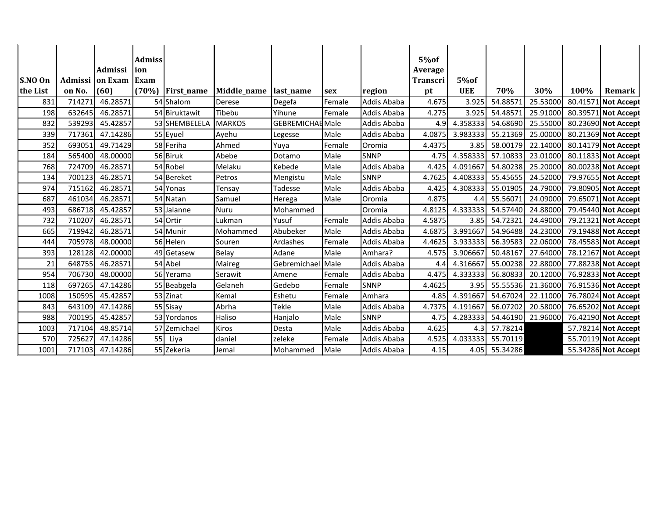|          |        |                 | <b>Admiss</b> |               |               |                         |        |                    | 5% of          |            |          |          |      |                     |
|----------|--------|-----------------|---------------|---------------|---------------|-------------------------|--------|--------------------|----------------|------------|----------|----------|------|---------------------|
|          |        | Admissi         | ion           |               |               |                         |        |                    | <b>Average</b> |            |          |          |      |                     |
| S.NO On  |        | Admissi on Exam | <b>Exam</b>   |               |               |                         |        |                    | Transcri       | 5%of       |          |          |      |                     |
| the List | on No. | (60)            | (70%)         | First_name    | Middle_name   | last_name               | sex    | region             | pt             | <b>UEE</b> | 70%      | 30%      | 100% | Remark              |
| 831      | 714271 | 46.28571        |               | 54 Shalom     | Derese        | Degefa                  | Female | Addis Ababa        | 4.675          | 3.925      | 54.88571 | 25.53000 |      | 80.41571 Not Accept |
| 198      | 632645 | 46.28571        |               | 54 Biruktawit | Tibebu        | Yihune                  | Female | Addis Ababa        | 4.275          | 3.925      | 54.48571 | 25.91000 |      | 80.39571 Not Accept |
| 832      | 539293 | 45.42857        |               | 53 SHEMBELELA | <b>MARKOS</b> | <b>GEBREMICHAE Male</b> |        | Addis Ababa        | 4.9            | 4.358333   | 54.68690 | 25.55000 |      | 80.23690 Not Accept |
| 339      | 717361 | 47.14286        |               | 55 Eyuel      | Ayehu         | Legesse                 | Male   | Addis Ababa        | 4.0875         | 3.983333   | 55.21369 | 25.00000 |      | 80.21369 Not Accept |
| 352      | 693051 | 49.71429        |               | 58 Feriha     | Ahmed         | Yuya                    | Female | Oromia             | 4.4375         | 3.85       | 58.00179 | 22.14000 |      | 80.14179 Not Accept |
| 184      | 565400 | 48.00000        |               | 56 Biruk      | Abebe         | Dotamo                  | Male   | <b>SNNP</b>        | 4.75           | 4.358333   | 57.10833 | 23.01000 |      | 80.11833 Not Accept |
| 768      | 724709 | 46.28571        |               | 54 Robel      | Melaku        | Kebede                  | Male   | Addis Ababa        | 4.425          | 4.091667   | 54.80238 | 25.20000 |      | 80.00238 Not Accept |
| 134      | 700123 | 46.28571        |               | 54 Bereket    | Petros        | Mengistu                | Male   | <b>SNNP</b>        | 4.7625         | 4.408333   | 55.45655 | 24.52000 |      | 79.97655 Not Accept |
| 974      | 715162 | 46.28571        |               | 54 Yonas      | Tensay        | <b>Tadesse</b>          | Male   | Addis Ababa        | 4.425          | 4.308333   | 55.01905 | 24.79000 |      | 79.80905 Not Accept |
| 687      | 461034 | 46.28571        |               | 54 Natan      | Samuel        | Herega                  | Male   | Oromia             | 4.875          | 4.4        | 55.56071 | 24.09000 |      | 79.65071 Not Accept |
| 493      | 686718 | 45.42857        |               | 53 Jalanne    | Nuru          | Mohammed                |        | Oromia             | 4.8125         | 4.333333   | 54.57440 | 24.88000 |      | 79.45440 Not Accept |
| 732      | 710207 | 46.28571        |               | 54 Ortir      | Lukman        | Yusuf                   | Female | Addis Ababa        | 4.5875         | 3.85       | 54.72321 | 24.49000 |      | 79.21321 Not Accept |
| 665      | 719942 | 46.28571        |               | 54 Munir      | Mohammed      | Abubeker                | Male   | Addis Ababa        | 4.6875         | 3.991667   | 54.96488 | 24.23000 |      | 79.19488 Not Accept |
| 444      | 705978 | 48.00000        |               | 56 Helen      | Souren        | Ardashes                | Female | Addis Ababa        | 4.4625         | 3.933333   | 56.39583 | 22.06000 |      | 78.45583 Not Accept |
| 393      | 128128 | 42.00000        |               | 49 Getasew    | Belay         | Adane                   | Male   | Amhara?            | 4.575          | 3.906667   | 50.48167 | 27.64000 |      | 78.12167 Not Accept |
| 21       | 648755 | 46.28571        |               | 54 Abel       | Maireg        | Gebremichael            | Male   | Addis Ababa        | 4.4            | 4.316667   | 55.00238 | 22.88000 |      | 77.88238 Not Accept |
| 954      | 706730 | 48.00000        |               | 56 Yerama     | Serawit       | Amene                   | Female | Addis Ababa        | 4.475          | 4.333333   | 56.80833 | 20.12000 |      | 76.92833 Not Accept |
| 118      | 697265 | 47.14286        |               | 55 Beabgela   | Gelaneh       | Gedebo                  | Female | <b>SNNP</b>        | 4.4625         | 3.95       | 55.55536 | 21.36000 |      | 76.91536 Not Accept |
| 1008     | 150595 | 45.42857        |               | 53 Zinat      | Kemal         | Eshetu                  | Female | Amhara             | 4.85           | 4.391667   | 54.67024 | 22.11000 |      | 76.78024 Not Accept |
| 843      | 643109 | 47.14286        |               | 55 Sisay      | Abrha         | <b>Tekle</b>            | Male   | <b>Addis Ababa</b> | 4.7375         | 4.191667   | 56.07202 | 20.58000 |      | 76.65202 Not Accept |
| 988      | 700195 | 45.42857        |               | 53 Yordanos   | Haliso        | Hanjalo                 | Male   | <b>SNNP</b>        | 4.75           | 4.283333   | 54.46190 | 21.96000 |      | 76.42190 Not Accept |
| 1003     | 717104 | 48.85714        |               | 57 Zemichael  | Kiros         | Desta                   | Male   | Addis Ababa        | 4.625          | 4.3        | 57.78214 |          |      | 57.78214 Not Accept |
| 570      | 725627 | 47.14286        | 55            | Liya          | daniel        | zeleke                  | Female | Addis Ababa        | 4.525          | 4.033333   | 55.70119 |          |      | 55.70119 Not Accept |
| 1001     | 717103 | 47.14286        |               | 55 Zekeria    | Jemal         | Mohammed                | Male   | Addis Ababa        | 4.15           | 4.05       | 55.34286 |          |      | 55.34286 Not Accept |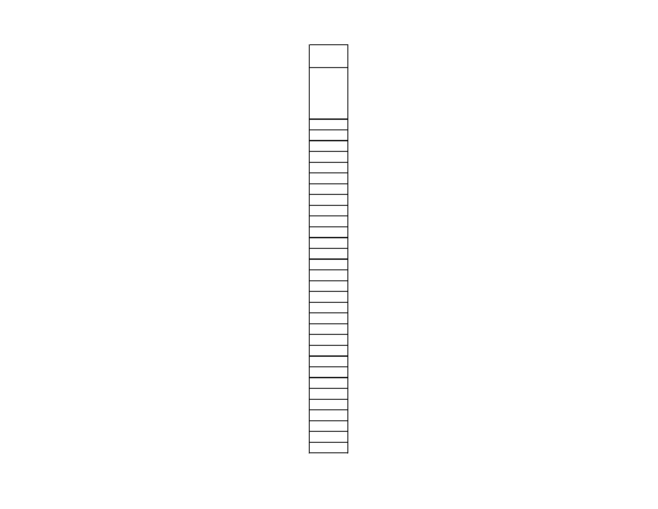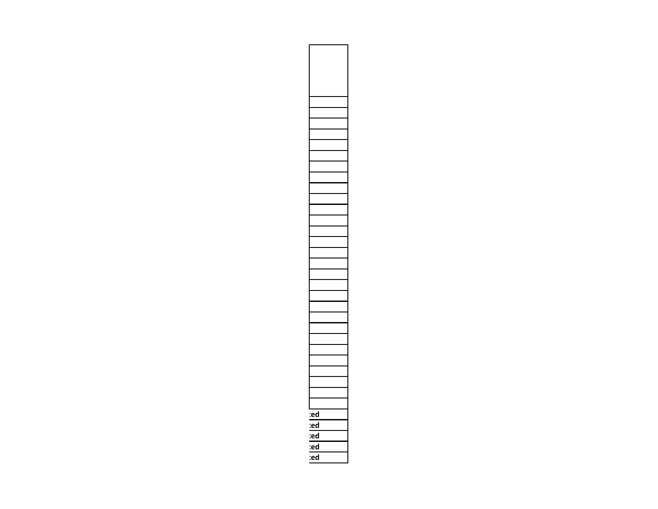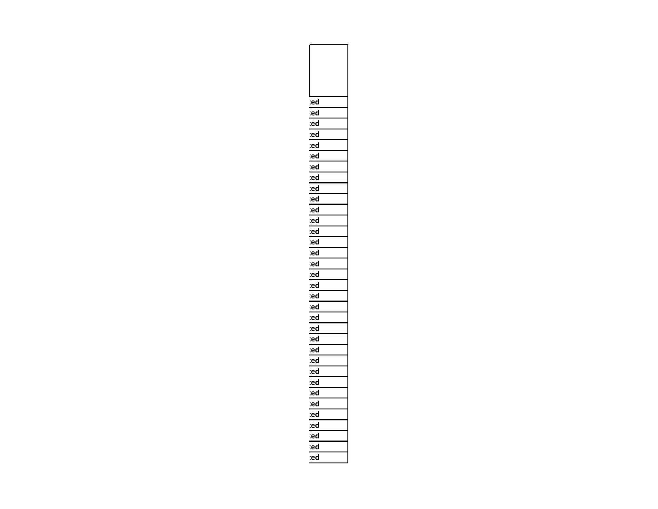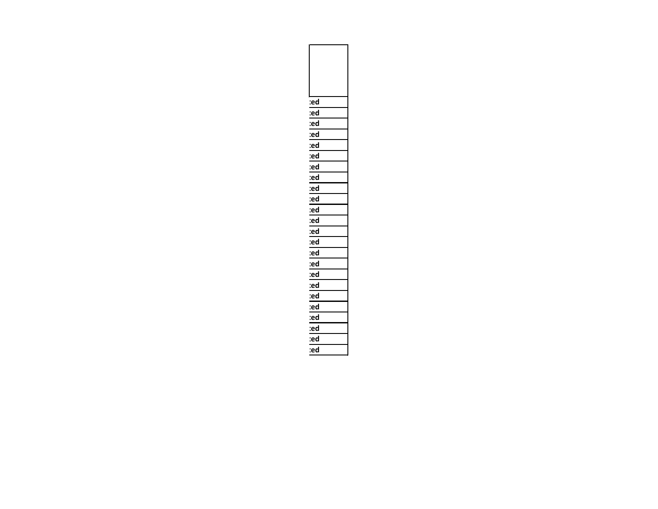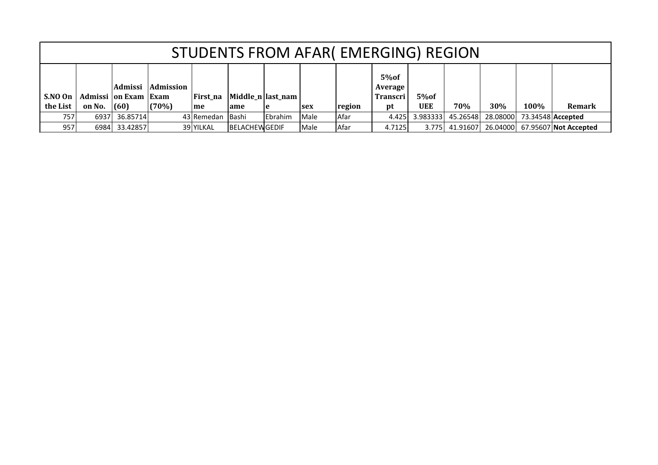|                      |                                                                                                                                                                                                                                         |          |  |            |                      |         |      |      | STUDENTS FROM AFAR(EMERGING) REGION |  |                |                                              |  |                                |
|----------------------|-----------------------------------------------------------------------------------------------------------------------------------------------------------------------------------------------------------------------------------------|----------|--|------------|----------------------|---------|------|------|-------------------------------------|--|----------------|----------------------------------------------|--|--------------------------------|
| $SNO$ On<br>the List | 5%of<br>Admissi Admission<br>Average<br>Admissi on Exam Exam<br>Middle n last nam<br>$5%$ of<br>Transcri<br>First na<br>70%<br>30%<br>100%<br>(70%)<br><b>UEE</b><br>on No. $(60)$<br>Remark<br>region<br>me<br>pt<br>ame<br><b>sex</b> |          |  |            |                      |         |      |      |                                     |  |                |                                              |  |                                |
| <b>757</b>           | 6937                                                                                                                                                                                                                                    | 36.85714 |  | 43 Remedan | <b>Bashi</b>         | Ebrahim | Male | Afar | 4.425                               |  |                | 3.983333 45.26548 28.08000 73.34548 Accepted |  |                                |
| 957                  | 6984                                                                                                                                                                                                                                    | 33.42857 |  | 39 YILKAL  | <b>BELACHEWGEDIF</b> |         | Male | Afar | 4.7125                              |  | 3.775 41.91607 |                                              |  | 26.04000 67.95607 Not Accepted |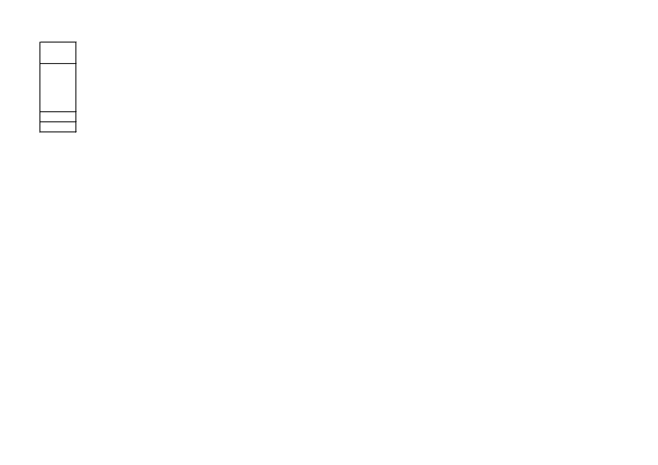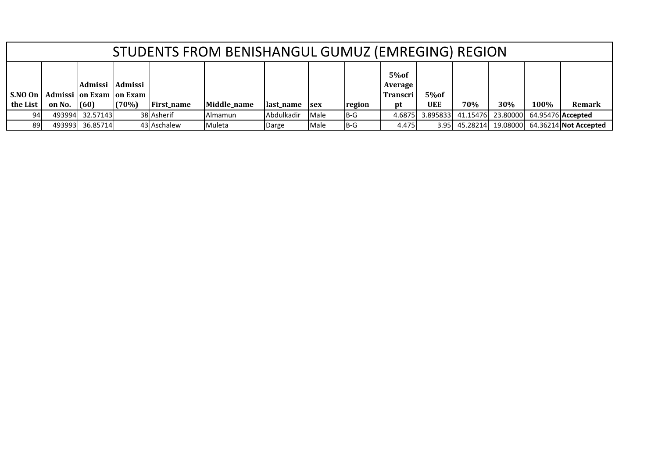|                       |                                                                                                                                                                                                                                                             |                 |  |             | STUDENTS FROM BENISHANGUL GUMUZ (EMREGING) REGION |            |      |         |        |       |                   |          |                       |
|-----------------------|-------------------------------------------------------------------------------------------------------------------------------------------------------------------------------------------------------------------------------------------------------------|-----------------|--|-------------|---------------------------------------------------|------------|------|---------|--------|-------|-------------------|----------|-----------------------|
| S.NO On  <br>the List | $5%$ of<br>Admissi Admissi<br>Average<br>Admissi on Exam on Exam<br>5%of<br><b>Transcri</b><br>70%<br>30%<br>100%<br>(60)<br>(70%)<br>Middle_name<br><b>UEE</b><br><b>First_name</b><br>on No.<br><b>Remark</b><br>last_name<br>region<br>pt<br><b>Isex</b> |                 |  |             |                                                   |            |      |         |        |       |                   |          |                       |
| 94                    |                                                                                                                                                                                                                                                             | 493994 32.57143 |  | 38 Asherif  | Almamun                                           | Abdulkadir | Male | $B-G$   | 4.6875 |       | 3.895833 41.15476 | 23.80000 | 64.95476 Accepted     |
| 891                   |                                                                                                                                                                                                                                                             | 493993 36.85714 |  | 43 Aschalew | Muleta                                            | Darge      | Male | $ B-G $ | 4.475  | 3.95I | 45.28214          | 19.08000 | 64.36214 Not Accepted |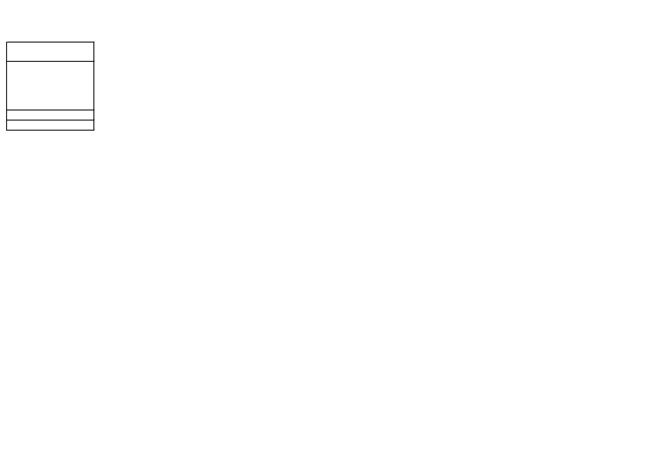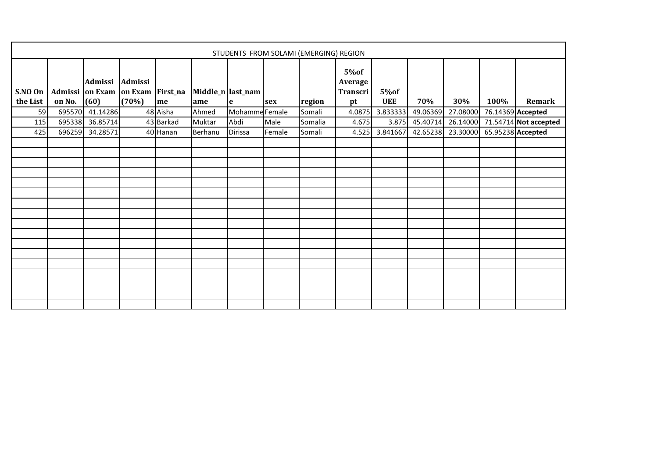|                     |        |                         |                                           |           |                          | STUDENTS FROM SOLAMI (EMERGING) REGION |        |         |                                    |                    |          |          |      |                       |
|---------------------|--------|-------------------------|-------------------------------------------|-----------|--------------------------|----------------------------------------|--------|---------|------------------------------------|--------------------|----------|----------|------|-----------------------|
| S.NO On<br>the List | on No. | Admissi Admissi<br>(60) | Admissi on Exam on Exam First_na<br>(70%) | me        | Middle_n last_nam<br>ame | e                                      | sex    | region  | 5% of<br>Average<br>Transcri<br>pt | 5%of<br><b>UEE</b> | 70%      | 30%      | 100% | Remark                |
| 59                  |        | 695570 41.14286         |                                           | 48 Aisha  | Ahmed                    | Mohamme Female                         |        | Somali  | 4.0875                             | 3.833333           | 49.06369 | 27.08000 |      | 76.14369 Accepted     |
| 115                 | 695338 | 36.85714                |                                           | 43 Barkad | Muktar                   | Abdi                                   | Male   | Somalia | 4.675                              | 3.875              | 45.40714 | 26.14000 |      | 71.54714 Not accepted |
| 425                 | 696259 | 34.28571                |                                           | 40 Hanan  | Berhanu                  | Dirissa                                | Female | Somali  | 4.525                              | 3.841667           | 42.65238 | 23.30000 |      | 65.95238 Accepted     |
|                     |        |                         |                                           |           |                          |                                        |        |         |                                    |                    |          |          |      |                       |
|                     |        |                         |                                           |           |                          |                                        |        |         |                                    |                    |          |          |      |                       |
|                     |        |                         |                                           |           |                          |                                        |        |         |                                    |                    |          |          |      |                       |
|                     |        |                         |                                           |           |                          |                                        |        |         |                                    |                    |          |          |      |                       |
|                     |        |                         |                                           |           |                          |                                        |        |         |                                    |                    |          |          |      |                       |
|                     |        |                         |                                           |           |                          |                                        |        |         |                                    |                    |          |          |      |                       |
|                     |        |                         |                                           |           |                          |                                        |        |         |                                    |                    |          |          |      |                       |
|                     |        |                         |                                           |           |                          |                                        |        |         |                                    |                    |          |          |      |                       |
|                     |        |                         |                                           |           |                          |                                        |        |         |                                    |                    |          |          |      |                       |
|                     |        |                         |                                           |           |                          |                                        |        |         |                                    |                    |          |          |      |                       |
|                     |        |                         |                                           |           |                          |                                        |        |         |                                    |                    |          |          |      |                       |
|                     |        |                         |                                           |           |                          |                                        |        |         |                                    |                    |          |          |      |                       |
|                     |        |                         |                                           |           |                          |                                        |        |         |                                    |                    |          |          |      |                       |
|                     |        |                         |                                           |           |                          |                                        |        |         |                                    |                    |          |          |      |                       |
|                     |        |                         |                                           |           |                          |                                        |        |         |                                    |                    |          |          |      |                       |
|                     |        |                         |                                           |           |                          |                                        |        |         |                                    |                    |          |          |      |                       |
|                     |        |                         |                                           |           |                          |                                        |        |         |                                    |                    |          |          |      |                       |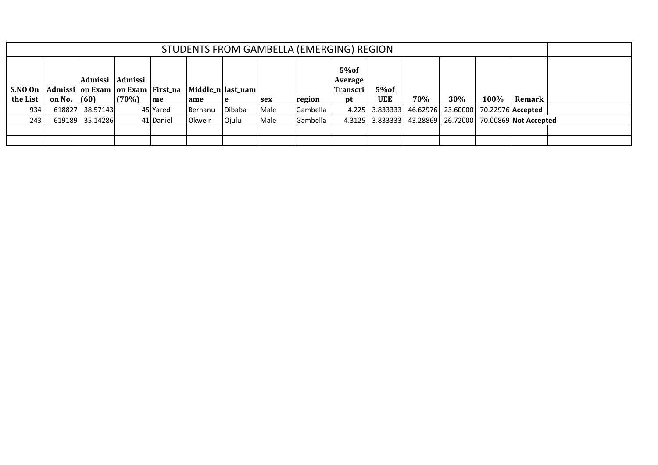|                         |                                                                                                                                                                                      |                 |  |           | STUDENTS FROM GAMBELLA (EMERGING) REGION |               |      |          |                    |                                                         |  |  |  |               |  |
|-------------------------|--------------------------------------------------------------------------------------------------------------------------------------------------------------------------------------|-----------------|--|-----------|------------------------------------------|---------------|------|----------|--------------------|---------------------------------------------------------|--|--|--|---------------|--|
| $\vert$ S.NO On $\vert$ |                                                                                                                                                                                      | Admissi Admissi |  |           |                                          |               |      |          | $5%$ of<br>Average |                                                         |  |  |  |               |  |
| the List                | Admissi on Exam on Exam First na Middle n last nam<br>$5%$ of<br>Transcri<br>(70%)<br>70%<br>30%<br>100%<br>on No. $(60)$<br><b>UEE</b><br>Ime<br>region<br>pt<br>lame<br><b>Sex</b> |                 |  |           |                                          |               |      |          |                    |                                                         |  |  |  | <b>Remark</b> |  |
| 934                     |                                                                                                                                                                                      | 618827 38.57143 |  | 45 Yared  | Berhanu                                  | <b>Dibaba</b> | Male | Gambella |                    | 4.225 3.833333 46.62976 23.60000 70.22976 Accepted      |  |  |  |               |  |
| 243                     |                                                                                                                                                                                      | 619189 35.14286 |  | 41 Daniel | Okweir                                   | Ojulu         | Male | Gambella |                    | 4.3125 3.833333 43.28869 26.72000 70.00869 Not Accepted |  |  |  |               |  |
|                         |                                                                                                                                                                                      |                 |  |           |                                          |               |      |          |                    |                                                         |  |  |  |               |  |
|                         |                                                                                                                                                                                      |                 |  |           |                                          |               |      |          |                    |                                                         |  |  |  |               |  |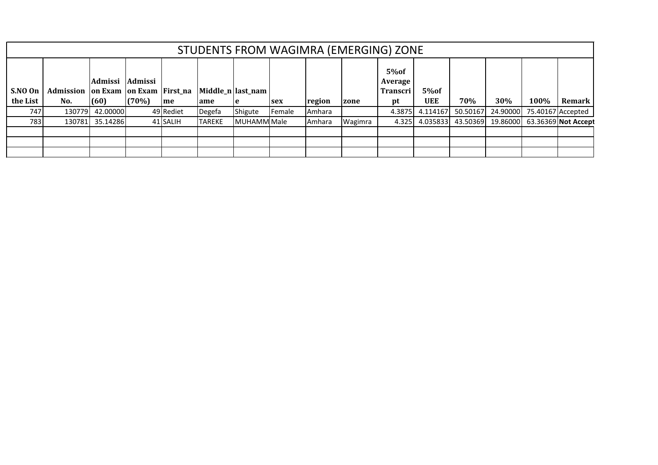|                     |                                                                                                                                                                                                                                                                                                  |          |  |          |               |             |        |        |         | STUDENTS FROM WAGIMRA (EMERGING) ZONE |          |          |          |  |                                                |
|---------------------|--------------------------------------------------------------------------------------------------------------------------------------------------------------------------------------------------------------------------------------------------------------------------------------------------|----------|--|----------|---------------|-------------|--------|--------|---------|---------------------------------------|----------|----------|----------|--|------------------------------------------------|
| S.NO On<br>the List | 5% of<br>Admissi Admissi<br>Average<br>Admission on Exam on Exam First_na<br>Middle_n last_nam<br><b>Transcri</b><br>$5%$ of<br>70%<br>100%<br>region<br><b>UEE</b><br>30%<br>(70%)<br>No.<br>(60)<br>Remark  <br>me<br>ame<br>zone<br><b>sex</b><br>pt<br>ı e<br>75.40167 Accepted<br>49 Rediet |          |  |          |               |             |        |        |         |                                       |          |          |          |  |                                                |
| 747I                | 130779                                                                                                                                                                                                                                                                                           | 42.00000 |  |          | Degefa        | Shigute     | Female | Amhara |         | 4.3875                                | 4.114167 | 50.50167 | 24.90000 |  |                                                |
| 783                 | 130781                                                                                                                                                                                                                                                                                           | 35.14286 |  | 41 SALIH | <b>TAREKE</b> | MUHAMM Male |        | Amhara | Wagimra | 4.325                                 |          |          |          |  | 4.035833 43.50369 19.86000 63.36369 Not Accept |
|                     |                                                                                                                                                                                                                                                                                                  |          |  |          |               |             |        |        |         |                                       |          |          |          |  |                                                |
|                     |                                                                                                                                                                                                                                                                                                  |          |  |          |               |             |        |        |         |                                       |          |          |          |  |                                                |
|                     |                                                                                                                                                                                                                                                                                                  |          |  |          |               |             |        |        |         |                                       |          |          |          |  |                                                |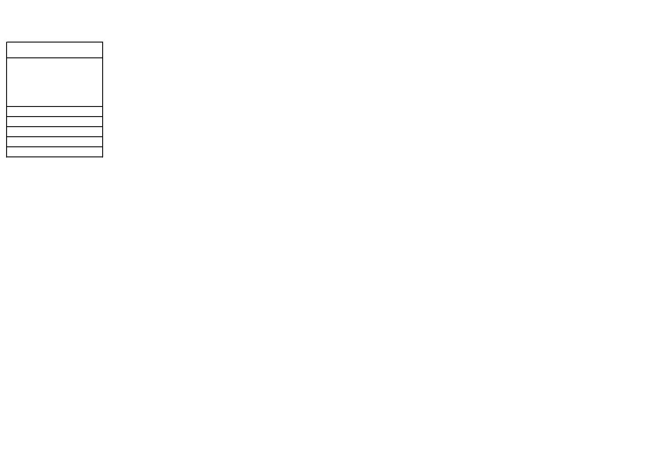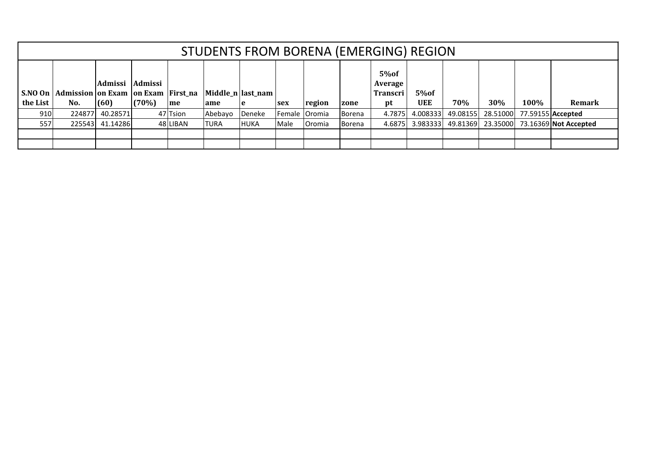|          |                                                                                                                                                                                                                                                                                                               |          |  |          |         |        |        |                |        | STUDENTS FROM BORENA (EMERGING) REGION |          |  |  |  |                                         |
|----------|---------------------------------------------------------------------------------------------------------------------------------------------------------------------------------------------------------------------------------------------------------------------------------------------------------------|----------|--|----------|---------|--------|--------|----------------|--------|----------------------------------------|----------|--|--|--|-----------------------------------------|
| the List | 5% of<br>Admissi Admissi<br>Average<br>S.NO On   Admission   on Exam   on Exam   First_na<br>Transcri<br>$5%$ of<br>Middle n last nam<br>30%<br>70%<br>100%<br>(70%)<br><b>UEE</b><br>(60)<br><b>Remark</b><br>No.<br>region<br>me<br>pt<br>lame<br><b>sex</b><br>zone<br>49.08155 28.51000 77.59155 Accepted |          |  |          |         |        |        |                |        |                                        |          |  |  |  |                                         |
| 910      | 224877                                                                                                                                                                                                                                                                                                        | 40.28571 |  | 47 Tsion | Abebayo | Deneke | Female | <b>IOromia</b> | Borena | 4.7875                                 | 4.008333 |  |  |  |                                         |
| 557      | 225543                                                                                                                                                                                                                                                                                                        | 41.14286 |  | 48 LIBAN | TURA    | HUKA   | Male   | Oromia         | Borena | 4.6875                                 | 3.983333 |  |  |  | 49.81369 23.35000 73.16369 Not Accepted |
|          |                                                                                                                                                                                                                                                                                                               |          |  |          |         |        |        |                |        |                                        |          |  |  |  |                                         |
|          |                                                                                                                                                                                                                                                                                                               |          |  |          |         |        |        |                |        |                                        |          |  |  |  |                                         |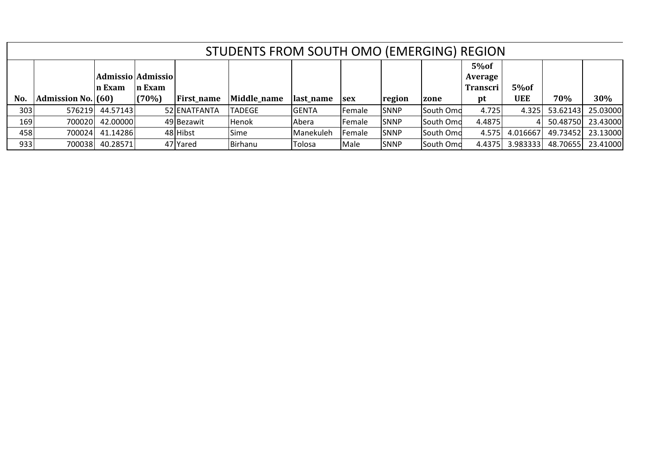|     | STUDENTS FROM SOUTH OMO (EMERGING) REGION |          |                             |                   |               |                   |            |             |           |                                    |            |                |          |
|-----|-------------------------------------------|----------|-----------------------------|-------------------|---------------|-------------------|------------|-------------|-----------|------------------------------------|------------|----------------|----------|
|     |                                           | n Exam   | Admissio Admissio<br>n Exam |                   |               |                   |            |             |           | 5%of<br>Average<br><b>Transcri</b> | $5%$ of    |                |          |
| No. | Admission No. (60)                        |          | (70%)                       | <b>First_name</b> | Middle_name   | last_name         | <b>sex</b> | region      | zone      | pt                                 | <b>UEE</b> | 70%            | 30%      |
| 303 | 576219                                    | 44.57143 |                             | 52 ENATFANTA      | <b>TADEGE</b> | <b>GENTA</b>      | Female     | <b>SNNP</b> | South Omd | 4.725                              |            | 4.325 53.62143 | 25.03000 |
| 169 | 700020                                    | 42.00000 |                             | 49 Bezawit        | Henok         | Abera             | Female     | <b>SNNP</b> | South Omd | 4.4875                             |            | 50.48750       | 23.43000 |
| 458 | 700024                                    | 41.14286 |                             | 48 Hibst          | Sime          | <b>IManekuleh</b> | Female     | <b>SNNP</b> | South Omo | 4.575                              | 4.016667   | 49.73452       | 23.13000 |
| 933 | 700038                                    | 40.28571 |                             | 47 Yared          | Birhanu       | Tolosa            | Male       | <b>SNNP</b> | South Omd | 4.4375                             | 3.983333   | 48.70655       | 23.41000 |